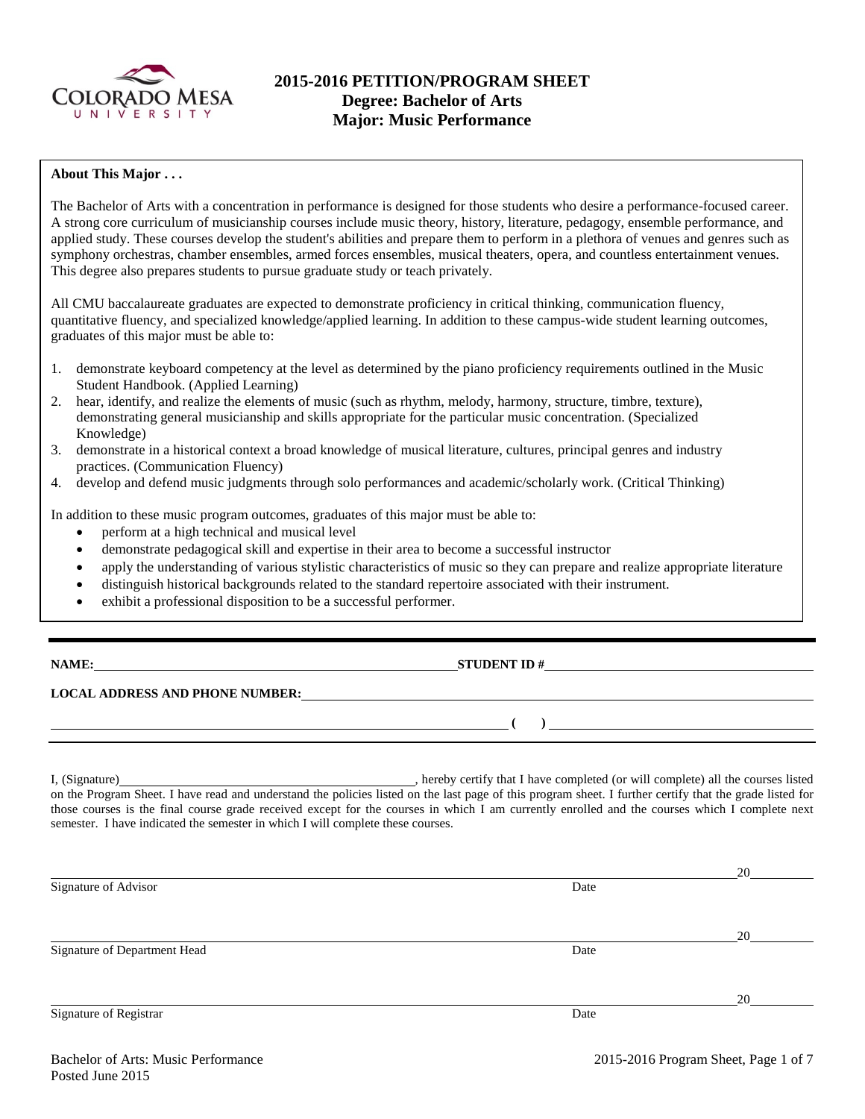

# **2015-2016 PETITION/PROGRAM SHEET Degree: Bachelor of Arts Major: Music Performance**

#### **About This Major . . .**

The Bachelor of Arts with a concentration in performance is designed for those students who desire a performance-focused career. A strong core curriculum of musicianship courses include music theory, history, literature, pedagogy, ensemble performance, and applied study. These courses develop the student's abilities and prepare them to perform in a plethora of venues and genres such as symphony orchestras, chamber ensembles, armed forces ensembles, musical theaters, opera, and countless entertainment venues. This degree also prepares students to pursue graduate study or teach privately.

All CMU baccalaureate graduates are expected to demonstrate proficiency in critical thinking, communication fluency, quantitative fluency, and specialized knowledge/applied learning. In addition to these campus-wide student learning outcomes, graduates of this major must be able to:

- 1. demonstrate keyboard competency at the level as determined by the piano proficiency requirements outlined in the Music Student Handbook. (Applied Learning)
- 2. hear, identify, and realize the elements of music (such as rhythm, melody, harmony, structure, timbre, texture), demonstrating general musicianship and skills appropriate for the particular music concentration. (Specialized Knowledge)
- 3. demonstrate in a historical context a broad knowledge of musical literature, cultures, principal genres and industry practices. (Communication Fluency)
- 4. develop and defend music judgments through solo performances and academic/scholarly work. (Critical Thinking)

In addition to these music program outcomes, graduates of this major must be able to:

- perform at a high technical and musical level
- demonstrate pedagogical skill and expertise in their area to become a successful instructor
- apply the understanding of various stylistic characteristics of music so they can prepare and realize appropriate literature
- distinguish historical backgrounds related to the standard repertoire associated with their instrument.
- exhibit a professional disposition to be a successful performer.

**NAME: STUDENT ID #** 

#### **LOCAL ADDRESS AND PHONE NUMBER:**

I, (Signature) , hereby certify that I have completed (or will complete) all the courses listed on the Program Sheet. I have read and understand the policies listed on the last page of this program sheet. I further certify that the grade listed for those courses is the final course grade received except for the courses in which I am currently enrolled and the courses which I complete next semester. I have indicated the semester in which I will complete these courses.

|                              |      | 20 |
|------------------------------|------|----|
| Signature of Advisor         | Date |    |
|                              |      |    |
|                              |      | 20 |
| Signature of Department Head | Date |    |
|                              |      |    |
|                              |      | 20 |
| Signature of Registrar       | Date |    |

**( )**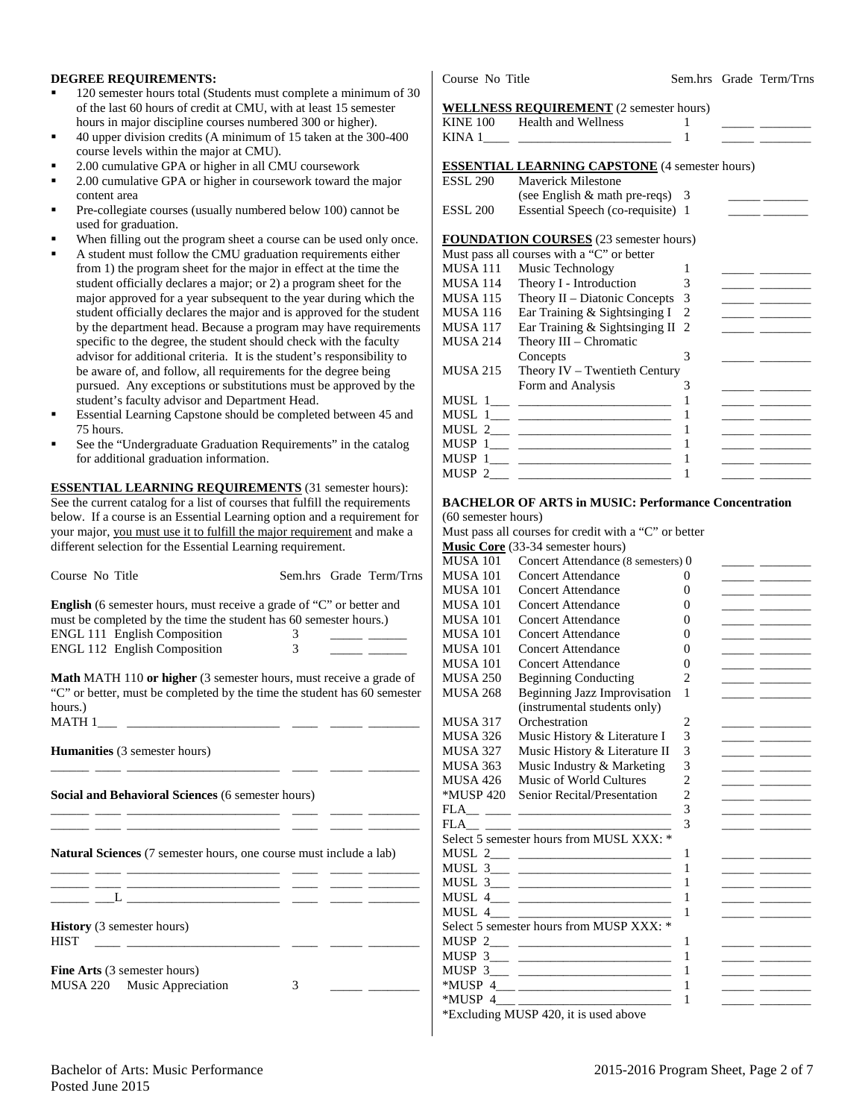#### **DEGREE REQUIREMENTS:**

- 120 semester hours total (Students must complete a minimum of 30 of the last 60 hours of credit at CMU, with at least 15 semester hours in major discipline courses numbered 300 or higher).
- 40 upper division credits (A minimum of 15 taken at the 300-400 course levels within the major at CMU).
- 2.00 cumulative GPA or higher in all CMU coursework
- 2.00 cumulative GPA or higher in coursework toward the major content area
- Pre-collegiate courses (usually numbered below 100) cannot be used for graduation.
- When filling out the program sheet a course can be used only once.
- A student must follow the CMU graduation requirements either from 1) the program sheet for the major in effect at the time the student officially declares a major; or 2) a program sheet for the major approved for a year subsequent to the year during which the student officially declares the major and is approved for the student by the department head. Because a program may have requirements specific to the degree, the student should check with the faculty advisor for additional criteria. It is the student's responsibility to be aware of, and follow, all requirements for the degree being pursued. Any exceptions or substitutions must be approved by the student's faculty advisor and Department Head.
- Essential Learning Capstone should be completed between 45 and 75 hours.
- See the "Undergraduate Graduation Requirements" in the catalog for additional graduation information.

**ESSENTIAL LEARNING REQUIREMENTS** (31 semester hours): See the current catalog for a list of courses that fulfill the requirements below. If a course is an Essential Learning option and a requirement for your major, you must use it to fulfill the major requirement and make a different selection for the Essential Learning requirement.

| Course No Title                                                                                                                                                                                                  |        | Sem.hrs Grade Term/Trns |
|------------------------------------------------------------------------------------------------------------------------------------------------------------------------------------------------------------------|--------|-------------------------|
| <b>English</b> (6 semester hours, must receive a grade of "C" or better and<br>must be completed by the time the student has 60 semester hours.)<br>ENGL 111 English Composition<br>ENGL 112 English Composition | 3<br>3 |                         |
| <b>Math MATH 110 or higher</b> (3 semester hours, must receive a grade of<br>"C" or better, must be completed by the time the student has 60 semester<br>hours.)<br>MATH 1                                       |        |                         |
| <b>Humanities</b> (3 semester hours)                                                                                                                                                                             |        |                         |
| Social and Behavioral Sciences (6 semester hours)                                                                                                                                                                |        |                         |
| <b>Natural Sciences</b> (7 semester hours, one course must include a lab)                                                                                                                                        |        |                         |
| <u> 1980 - Johann John Stein, marwolaethau (b. 1980)</u>                                                                                                                                                         |        |                         |
| <b>History</b> (3 semester hours)<br><b>HIST</b>                                                                                                                                                                 |        |                         |
| <b>Fine Arts</b> (3 semester hours)<br>MUSA 220 Music Appreciation                                                                                                                                               | 3      |                         |

#### **WELL NESS DEQUIDEMENT** (2 semester hours)

|                 | WELLINESS REQUIREMENT (2 semester hours)              |   |                                                                                                                                                                                                                                      |
|-----------------|-------------------------------------------------------|---|--------------------------------------------------------------------------------------------------------------------------------------------------------------------------------------------------------------------------------------|
|                 | KINE 100 Health and Wellness                          | 1 | <u>and the community of the community of the community of the community of the community of the community of the community of the community of the community of the community of the community of the community of the community</u> |
|                 |                                                       | 1 |                                                                                                                                                                                                                                      |
|                 | <b>ESSENTIAL LEARNING CAPSTONE</b> (4 semester hours) |   |                                                                                                                                                                                                                                      |
| <b>ESSL 290</b> | <b>Maverick Milestone</b>                             |   |                                                                                                                                                                                                                                      |
|                 | (see English & math pre-reqs) 3                       |   |                                                                                                                                                                                                                                      |
| <b>ESSL 200</b> | Essential Speech (co-requisite) 1                     |   | <u> 1990 - Jan Barnett, mars et al.</u>                                                                                                                                                                                              |
|                 | <b>FOUNDATION COURSES</b> (23 semester hours)         |   |                                                                                                                                                                                                                                      |
|                 | Must pass all courses with a "C" or better            |   |                                                                                                                                                                                                                                      |
| MUSA 111        | Music Technology                                      | 1 |                                                                                                                                                                                                                                      |
| MUSA 114        | Theory I - Introduction                               | 3 |                                                                                                                                                                                                                                      |
| <b>MUSA 115</b> | Theory II – Diatonic Concepts                         | 3 |                                                                                                                                                                                                                                      |
| <b>MUSA 116</b> | Ear Training & Sightsinging I                         | 2 | <u> 1989 - Johann Barbara, martxa</u>                                                                                                                                                                                                |
| MUSA 117        | Ear Training & Sightsinging II 2                      |   |                                                                                                                                                                                                                                      |
| <b>MUSA 214</b> | Theory III – Chromatic                                |   |                                                                                                                                                                                                                                      |
|                 | Concepts                                              | 3 |                                                                                                                                                                                                                                      |
| <b>MUSA 215</b> | Theory $IV - Tw$ entieth Century                      |   |                                                                                                                                                                                                                                      |
|                 | Form and Analysis                                     | 3 | <u> The Common School and The Common School and The Common School and The Common School and The Common School and The Common School and The Common School and The Common School and The Common School and The Common School and </u> |
|                 |                                                       | 1 | <u> 1989 - Andrea Station Books, amerikansk politiker (</u>                                                                                                                                                                          |
|                 |                                                       | 1 |                                                                                                                                                                                                                                      |
|                 |                                                       | 1 |                                                                                                                                                                                                                                      |
|                 |                                                       | 1 |                                                                                                                                                                                                                                      |
|                 |                                                       | 1 | <u> 1989 - Alexandr Alexandr III (</u>                                                                                                                                                                                               |
|                 |                                                       | 1 |                                                                                                                                                                                                                                      |

#### **BACHELOR OF ARTS in MUSIC: Performance Concentration**

(60 semester hours) Must pass all courses for credit with a "C" or better **Music Core** (33-34 semester hours) MUSA 101 Concert Attendance (8 semesters) 0 MUSA 101 Concert Attendance 0 MUSA 101 Concert Attendance 0 \_\_\_\_\_ \_\_\_\_\_\_\_\_ MUSA 101 Concert Attendance MUSA 101 Concert Attendance 0 \_\_\_\_\_\_ \_\_\_\_\_\_\_\_ MUSA 101 Concert Attendance 0 \_\_\_\_\_\_ \_\_\_\_\_\_\_\_ MUSA 101 Concert Attendance 0 \_\_\_\_\_\_ \_\_\_\_\_\_\_\_ MUSA 101 Concert Attendance 0 \_\_\_\_\_\_ \_\_\_\_\_\_\_\_ MUSA 250 Beginning Conducting 2 MUSA 268 Beginning Jazz Improvisation 1 (instrumental students only) MUSA 317 Orchestration 2 \_\_\_\_\_ \_\_\_\_\_\_\_\_ MUSA 326 Music History & Literature I  $3 \quad \quad \quad$ MUSA 327 Music History & Literature II 3 \_\_\_\_\_\_ \_ MUSA 363 Music Industry & Marketing  $\begin{array}{ccc} 3 & \text{---} \end{array}$ MUSA 426 Music of World Cultures 2<br>
\*MUSP 420 Senior Recital/Presentation 2 \*MUSP 420 Senior Recital/Presentation 2 \_\_\_\_\_ \_\_\_\_\_\_\_\_ FLA\_\_ \_\_\_\_ \_\_\_\_\_\_\_\_\_\_\_\_\_\_\_\_\_\_\_\_\_\_\_\_ 3 \_\_\_\_\_ \_\_\_\_\_\_\_\_  $FLA$   $3$ Select 5 semester hours from MUSL XXX: \* MUSL 2\_\_\_ \_\_\_\_\_\_\_\_\_\_\_\_\_\_\_\_\_\_\_\_\_\_\_\_ 1 \_\_\_\_\_ \_\_\_\_\_\_\_\_ MUSL 3\_\_\_ \_\_\_\_\_\_\_\_\_\_\_\_\_\_\_\_\_\_\_\_\_\_\_\_ 1 \_\_\_\_\_ \_\_\_\_\_\_\_\_ MUSL  $3 \_$   $\_$ MUSL 4\_\_\_ \_\_\_\_\_\_\_\_\_\_\_\_\_\_\_\_\_\_\_\_\_\_\_\_ 1 \_\_\_\_\_ \_\_\_\_\_\_\_\_ MUSL 4\_\_\_ \_\_\_\_\_\_\_\_\_\_\_\_\_\_\_\_\_\_\_\_\_\_\_\_ 1 \_\_\_\_\_ \_\_\_\_\_\_\_\_ Select 5 semester hours from MUSP XXX: \* MUSP 2\_\_\_ \_\_\_\_\_\_\_\_\_\_\_\_\_\_\_\_\_\_\_\_\_\_\_\_ 1 \_\_\_\_\_ \_\_\_\_\_\_\_\_ MUSP 3\_\_\_ \_\_\_\_\_\_\_\_\_\_\_\_\_\_\_\_\_\_\_\_\_\_\_\_ 1 \_\_\_\_\_ \_\_\_\_\_\_\_\_ MUSP 3\_\_\_ \_\_\_\_\_\_\_\_\_\_\_\_\_\_\_\_\_\_\_\_\_\_\_\_ 1 \_\_\_\_\_ \_\_\_\_\_\_\_\_ \*MUSP 4\_\_\_ \_\_\_\_\_\_\_\_\_\_\_\_\_\_\_\_\_\_\_\_\_\_\_\_ 1 \_\_\_\_\_ \_\_\_\_\_\_\_\_ \*MUSP 4\_\_\_ \_\_\_\_\_\_\_\_\_\_\_\_\_\_\_\_\_\_\_\_\_\_\_\_ 1 \_\_\_\_\_ \_\_\_\_\_\_\_\_

\*Excluding MUSP 420, it is used above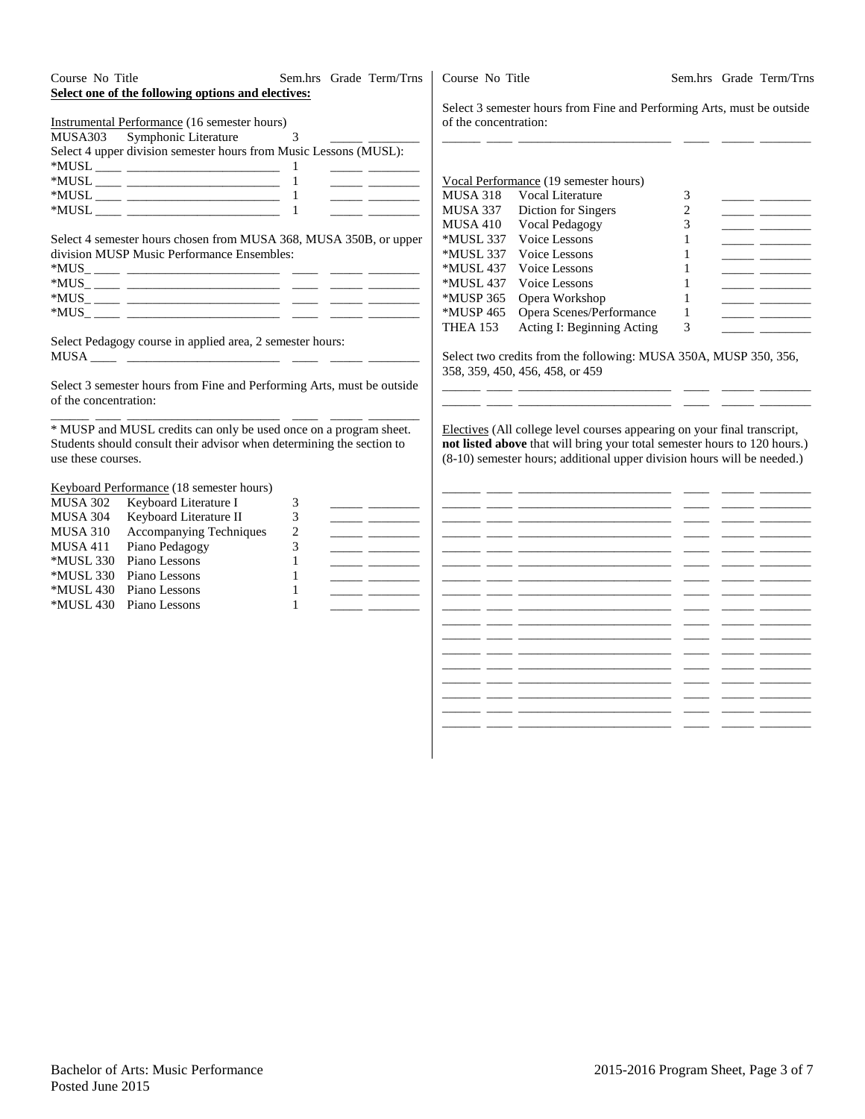| Course No Title<br>Sem.hrs Grade Term/Trns<br>Select one of the following options and electives:<br>Instrumental Performance (16 semester hours)<br>MUSA303<br>Symphonic Literature<br>3<br>Select 4 upper division semester hours from Music Lessons (MUSL):                                                                                                                                                                                                                                                                                                                                                                                                                                                                                                                                                                                                          | Course No Title<br>Sem.hrs Grade Term/Trns<br>Select 3 semester hours from Fine and Performing Arts, must be outside<br>of the concentration:                                                                                                                                                                                                                                                                                                                                                                                                                                                                                                                                                                                                                                                                                                                                                                                                                                                                     |
|------------------------------------------------------------------------------------------------------------------------------------------------------------------------------------------------------------------------------------------------------------------------------------------------------------------------------------------------------------------------------------------------------------------------------------------------------------------------------------------------------------------------------------------------------------------------------------------------------------------------------------------------------------------------------------------------------------------------------------------------------------------------------------------------------------------------------------------------------------------------|-------------------------------------------------------------------------------------------------------------------------------------------------------------------------------------------------------------------------------------------------------------------------------------------------------------------------------------------------------------------------------------------------------------------------------------------------------------------------------------------------------------------------------------------------------------------------------------------------------------------------------------------------------------------------------------------------------------------------------------------------------------------------------------------------------------------------------------------------------------------------------------------------------------------------------------------------------------------------------------------------------------------|
| $\begin{tabular}{ll} \multicolumn{3}{c} {\textbf{---}} & \multicolumn{3}{c} {\textbf{---}} & \multicolumn{3}{c} {\textbf{---}} & \multicolumn{3}{c} {\textbf{---}} & \multicolumn{3}{c} {\textbf{---}} & \multicolumn{3}{c} {\textbf{---}} & \multicolumn{3}{c} {\textbf{---}} & \multicolumn{3}{c} {\textbf{---}} & \multicolumn{3}{c} {\textbf{---}} & \multicolumn{3}{c} {\textbf{---}} & \multicolumn{3}{c} {\textbf{---}} & \multicolumn{3}{c} {\textbf{---}} & \multicolumn{3}{c} {\textbf{---}} & \multicolumn$<br><u> Alexandria (Alexandria)</u><br><u> 1989 - Johann John Stone</u><br>Select 4 semester hours chosen from MUSA 368, MUSA 350B, or upper<br>division MUSP Music Performance Ensembles:                                                                                                                                                       | Vocal Performance (19 semester hours)<br><b>MUSA 318</b><br>Vocal Literature<br>3<br><u> The Common State State State State State State State State State State State State State State State State State State State State State State State State State State State State State State State State State State State</u><br>$\overline{c}$<br>MUSA 337<br>Diction for Singers<br><u> Den Bernard (Bernard Bernard Bernard)</u><br>3<br><b>MUSA 410</b><br>Vocal Pedagogy<br>Voice Lessons<br>*MUSL 337<br>$\mathbf{1}$<br><u> The Common State State State State State State State State State State State State State State State State State State State State State State State State State State State State State State State State State State State</u><br>*MUSL 337<br>Voice Lessons<br>$\mathbf{1}$<br>*MUSL 437<br>Voice Lessons<br>$\mathbf{1}$<br>*MUSL 437<br>Voice Lessons<br>$\mathbf{1}$<br>*MUSP 365<br>Opera Workshop<br>$\mathbf{1}$<br>Opera Scenes/Performance<br>*MUSP 465<br>$\mathbf{1}$ |
| Select Pedagogy course in applied area, 2 semester hours:<br>Select 3 semester hours from Fine and Performing Arts, must be outside<br>of the concentration:<br>* MUSP and MUSL credits can only be used once on a program sheet.<br>Students should consult their advisor when determining the section to<br>use these courses.                                                                                                                                                                                                                                                                                                                                                                                                                                                                                                                                       | 3<br>Acting I: Beginning Acting<br><b>THEA 153</b><br><u>and the state of the state of the state</u><br>Select two credits from the following: MUSA 350A, MUSP 350, 356,<br>358, 359, 450, 456, 458, or 459<br>Electives (All college level courses appearing on your final transcript,<br>not listed above that will bring your total semester hours to 120 hours.)<br>(8-10) semester hours; additional upper division hours will be needed.)                                                                                                                                                                                                                                                                                                                                                                                                                                                                                                                                                                   |
| Keyboard Performance (18 semester hours)<br><b>MUSA 302</b><br>Keyboard Literature I<br>3<br>3<br><b>MUSA 304</b><br>Keyboard Literature II<br>Accompanying Techniques<br>$\overline{c}$<br><b>MUSA 310</b><br>3<br>Piano Pedagogy<br><b>MUSA 411</b><br>Piano Lessons<br>*MUSL 330<br>$\mathbf{1}$<br>Piano Lessons<br>*MUSL 330<br>$\mathbf{1}$<br>$\frac{1}{1-\frac{1}{1-\frac{1}{1-\frac{1}{1-\frac{1}{1-\frac{1}{1-\frac{1}{1-\frac{1}{1-\frac{1}{1-\frac{1}{1-\frac{1}{1-\frac{1}{1-\frac{1}{1-\frac{1}{1-\frac{1}{1-\frac{1}{1-\frac{1}{1-\frac{1}{1-\frac{1}{1-\frac{1}{1-\frac{1}{1-\frac{1}{1-\frac{1}{1-\frac{1}{1-\frac{1}{1-\frac{1}{1-\frac{1}{1-\frac{1}{1-\frac{1}{1-\frac{1}{1-\frac{1}{1-\frac{1}{1-\frac{1}{1-\frac{1}{1-\frac{1}{1-\frac{1}{1-\frac{1$<br>*MUSL 430<br>Piano Lessons<br>$\mathbf{1}$<br>*MUSL 430<br>Piano Lessons<br>$\mathbf{1}$ | <u> 2000 - 2000 - 2000 - 2000 - 2000 - 2000 - 2000 - 2000 - 2000 - 2000 - 2000 - 2000 - 2000 - 2000 - 2000 - 200</u><br><u> 1999 - Jan James James, mars (f. 1989)</u><br>- -                                                                                                                                                                                                                                                                                                                                                                                                                                                                                                                                                                                                                                                                                                                                                                                                                                     |

\_\_\_\_\_\_ \_\_\_\_ \_\_\_\_\_\_\_\_\_\_\_\_\_\_\_\_\_\_\_\_\_\_\_\_ \_\_\_\_ \_\_\_\_\_ \_\_\_\_\_\_\_\_ \_\_\_\_\_\_ \_\_\_\_ \_\_\_\_\_\_\_\_\_\_\_\_\_\_\_\_\_\_\_\_\_\_\_\_ \_\_\_\_ \_\_\_\_\_ \_\_\_\_\_\_\_\_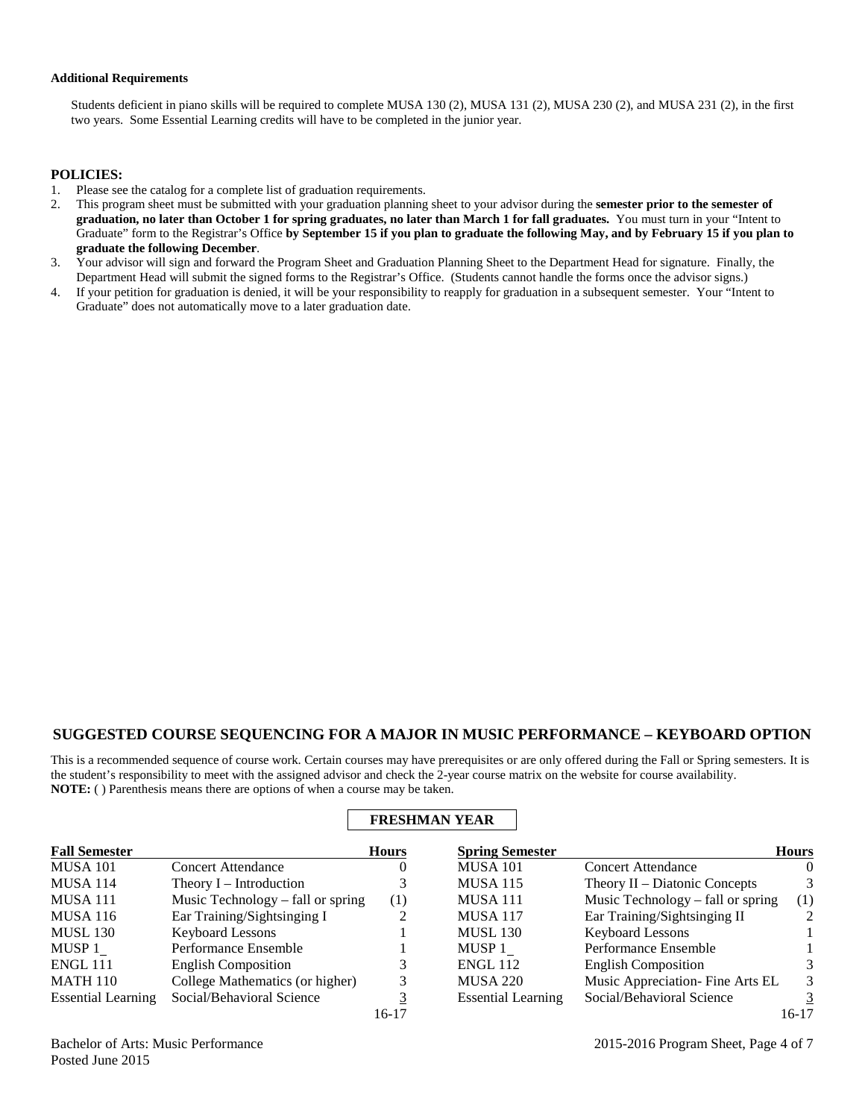#### **Additional Requirements**

Students deficient in piano skills will be required to complete MUSA 130 (2), MUSA 131 (2), MUSA 230 (2), and MUSA 231 (2), in the first two years. Some Essential Learning credits will have to be completed in the junior year.

#### **POLICIES:**

- 1. Please see the catalog for a complete list of graduation requirements.
- 2. This program sheet must be submitted with your graduation planning sheet to your advisor during the **semester prior to the semester of graduation, no later than October 1 for spring graduates, no later than March 1 for fall graduates.** You must turn in your "Intent to Graduate" form to the Registrar's Office **by September 15 if you plan to graduate the following May, and by February 15 if you plan to graduate the following December**.
- 3. Your advisor will sign and forward the Program Sheet and Graduation Planning Sheet to the Department Head for signature. Finally, the Department Head will submit the signed forms to the Registrar's Office. (Students cannot handle the forms once the advisor signs.)
- 4. If your petition for graduation is denied, it will be your responsibility to reapply for graduation in a subsequent semester. Your "Intent to Graduate" does not automatically move to a later graduation date.

## **SUGGESTED COURSE SEQUENCING FOR A MAJOR IN MUSIC PERFORMANCE – KEYBOARD OPTION**

This is a recommended sequence of course work. Certain courses may have prerequisites or are only offered during the Fall or Spring semesters. It is the student's responsibility to meet with the assigned advisor and check the 2-year course matrix on the website for course availability. **NOTE:** ( ) Parenthesis means there are options of when a course may be taken.

**FRESHMAN YEAR**

| <b>Fall Semester</b>      |                                   | <b>Hours</b> | <b>Spring Semester</b>    |                                   | <b>Hours</b>   |
|---------------------------|-----------------------------------|--------------|---------------------------|-----------------------------------|----------------|
| <b>MUSA 101</b>           | <b>Concert Attendance</b>         | O            | <b>MUSA 101</b>           | <b>Concert Attendance</b>         | 0              |
| <b>MUSA 114</b>           | Theory I – Introduction           |              | <b>MUSA 115</b>           | Theory $II$ – Diatonic Concepts   | 3              |
| MUSA 111                  | Music Technology – fall or spring | (1)          | MUSA 111                  | Music Technology – fall or spring | (1)            |
| <b>MUSA 116</b>           | Ear Training/Sightsinging I       |              | <b>MUSA 117</b>           | Ear Training/Sightsinging II      | $\mathfrak{D}$ |
| <b>MUSL 130</b>           | <b>Keyboard Lessons</b>           |              | <b>MUSL 130</b>           | <b>Keyboard Lessons</b>           |                |
| MUSP 1                    | Performance Ensemble              |              | MUSP 1                    | Performance Ensemble              |                |
| <b>ENGL 111</b>           | <b>English Composition</b>        |              | <b>ENGL 112</b>           | <b>English Composition</b>        |                |
| <b>MATH 110</b>           | College Mathematics (or higher)   |              | <b>MUSA 220</b>           | Music Appreciation-Fine Arts EL   | 3              |
| <b>Essential Learning</b> | Social/Behavioral Science         |              | <b>Essential Learning</b> | Social/Behavioral Science         | 3              |
|                           |                                   | $16-17$      |                           |                                   | 16-17          |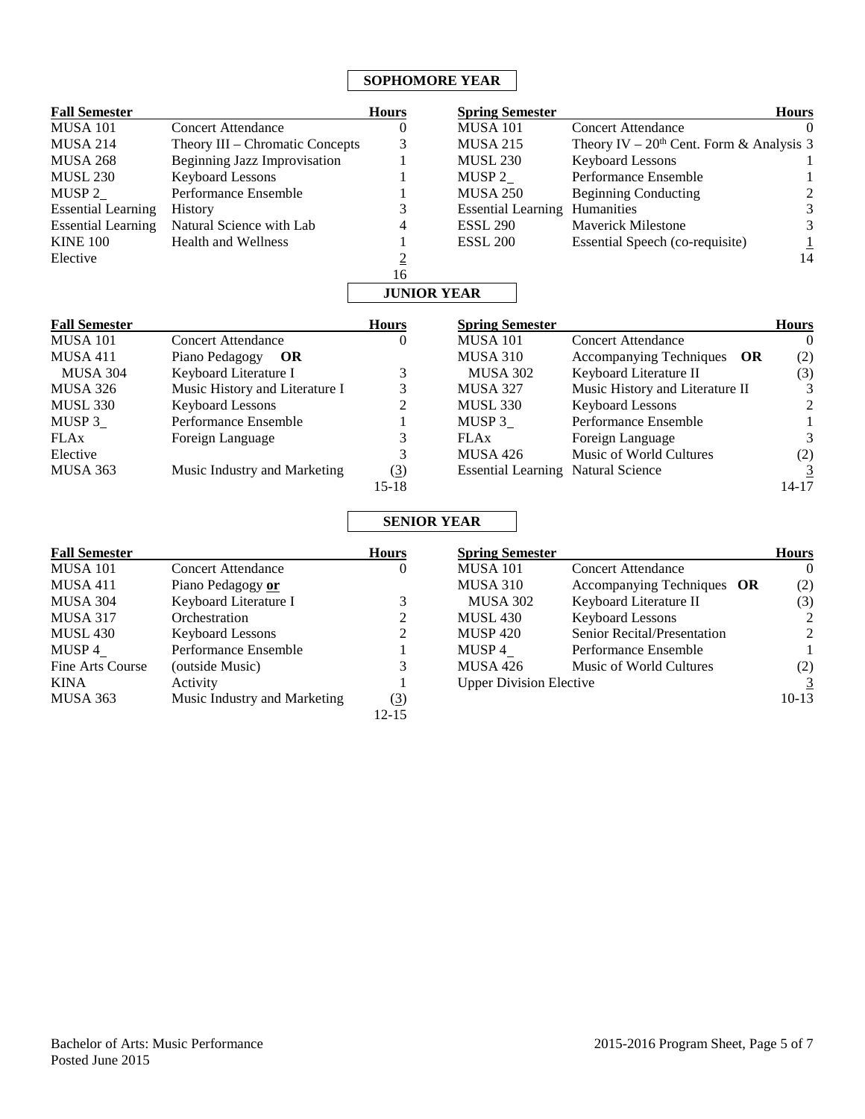# **SOPHOMORE YEAR**

| <b>Fall Semester</b>      |                                     | <b>Hours</b>       | <b>Spring Semester</b>                    |                                            | <b>Hours</b>            |
|---------------------------|-------------------------------------|--------------------|-------------------------------------------|--------------------------------------------|-------------------------|
| <b>MUSA 101</b>           | <b>Concert Attendance</b>           | $\theta$           | <b>MUSA 101</b>                           | <b>Concert Attendance</b>                  | $\Omega$                |
| <b>MUSA 214</b>           | Theory III – Chromatic Concepts     | 3                  | <b>MUSA 215</b>                           | Theory IV – $20th$ Cent. Form & Analysis 3 |                         |
| <b>MUSA 268</b>           | <b>Beginning Jazz Improvisation</b> | 1                  | <b>MUSL 230</b>                           | <b>Keyboard Lessons</b>                    | 1                       |
| <b>MUSL 230</b>           | <b>Keyboard Lessons</b>             | 1                  | MUSP <sub>2</sub>                         | Performance Ensemble                       | $\mathbf{1}$            |
| MUSP <sub>2</sub>         | Performance Ensemble                | 1                  | <b>MUSA 250</b>                           | <b>Beginning Conducting</b>                | $\overline{\mathbf{c}}$ |
| <b>Essential Learning</b> | History                             | 3                  | <b>Essential Learning Humanities</b>      |                                            | 3                       |
| <b>Essential Learning</b> | Natural Science with Lab            | 4                  | <b>ESSL 290</b>                           | <b>Maverick Milestone</b>                  | 3                       |
| <b>KINE 100</b>           | <b>Health and Wellness</b>          |                    | <b>ESSL 200</b>                           | Essential Speech (co-requisite)            | $\frac{1}{14}$          |
| Elective                  |                                     | $\underline{2}$    |                                           |                                            |                         |
|                           |                                     | 16                 |                                           |                                            |                         |
|                           |                                     | <b>JUNIOR YEAR</b> |                                           |                                            |                         |
| <b>Fall Semester</b>      |                                     | <b>Hours</b>       | <b>Spring Semester</b>                    |                                            | <b>Hours</b>            |
| <b>MUSA 101</b>           | <b>Concert Attendance</b>           | $\theta$           | <b>MUSA 101</b>                           | <b>Concert Attendance</b>                  | $\theta$                |
| MUSA 411                  | Piano Pedagogy<br><b>OR</b>         |                    | <b>MUSA 310</b>                           | Accompanying Techniques<br><b>OR</b>       | (2)                     |
| <b>MUSA 304</b>           | Keyboard Literature I               | 3                  | <b>MUSA 302</b>                           | Keyboard Literature II                     | (3)                     |
| MUSA 326                  | Music History and Literature I      | 3                  | <b>MUSA 327</b>                           | Music History and Literature II            | $\mathfrak{Z}$          |
| <b>MUSL 330</b>           | <b>Keyboard Lessons</b>             | $\overline{c}$     | <b>MUSL 330</b>                           | <b>Keyboard Lessons</b>                    | $\overline{c}$          |
| MUSP 3                    | Performance Ensemble                | $\mathbf{1}$       | MUSP 3                                    | Performance Ensemble                       | $\mathbf{1}$            |
| <b>FLAx</b>               | Foreign Language                    | 3                  | <b>FLAx</b>                               | Foreign Language                           | $\mathfrak{Z}$          |
| Elective                  |                                     | 3                  | MUSA 426                                  | Music of World Cultures                    | (2)                     |
| MUSA 363                  | Music Industry and Marketing        | (3)                | <b>Essential Learning Natural Science</b> |                                            | $\overline{3}$          |
|                           |                                     | $15 - 18$          |                                           |                                            | $14-17$                 |
|                           |                                     | <b>SENIOR YEAR</b> |                                           |                                            |                         |
| <b>Fall Semester</b>      |                                     | <b>Hours</b>       | <b>Spring Semester</b>                    |                                            | <b>Hours</b>            |
| <b>MUSA 101</b>           | <b>Concert Attendance</b>           | $\theta$           | <b>MUSA 101</b>                           | <b>Concert Attendance</b>                  | $\theta$                |
| <b>MUSA 411</b>           | Piano Pedagogy or                   |                    | <b>MUSA 310</b>                           | Accompanying Techniques OR                 | (2)                     |
| <b>MUSA 304</b>           | Keyboard Literature I               | 3                  | <b>MUSA 302</b>                           | Keyboard Literature II                     | (3)                     |
| <b>MUSA 317</b>           | Orchestration                       | $\overline{c}$     | <b>MUSL 430</b>                           | <b>Keyboard Lessons</b>                    | $\overline{2}$          |
| <b>MUSL 430</b>           | <b>Keyboard Lessons</b>             | $\overline{c}$     | <b>MUSP 420</b>                           | Senior Recital/Presentation                | $\sqrt{2}$              |
| MUSP 4                    | Performance Ensemble                | 1                  | MUSP 4                                    | Performance Ensemble                       | 1                       |
| Fine Arts Course          | (outside Music)                     | 3                  | <b>MUSA 426</b>                           | Music of World Cultures                    | (2)                     |
| <b>KINA</b>               | Activity                            | 1                  | <b>Upper Division Elective</b>            |                                            | $\overline{3}$          |
| <b>MUSA 363</b>           | Music Industry and Marketing        | (3)                |                                           |                                            | $10-13$                 |

12-15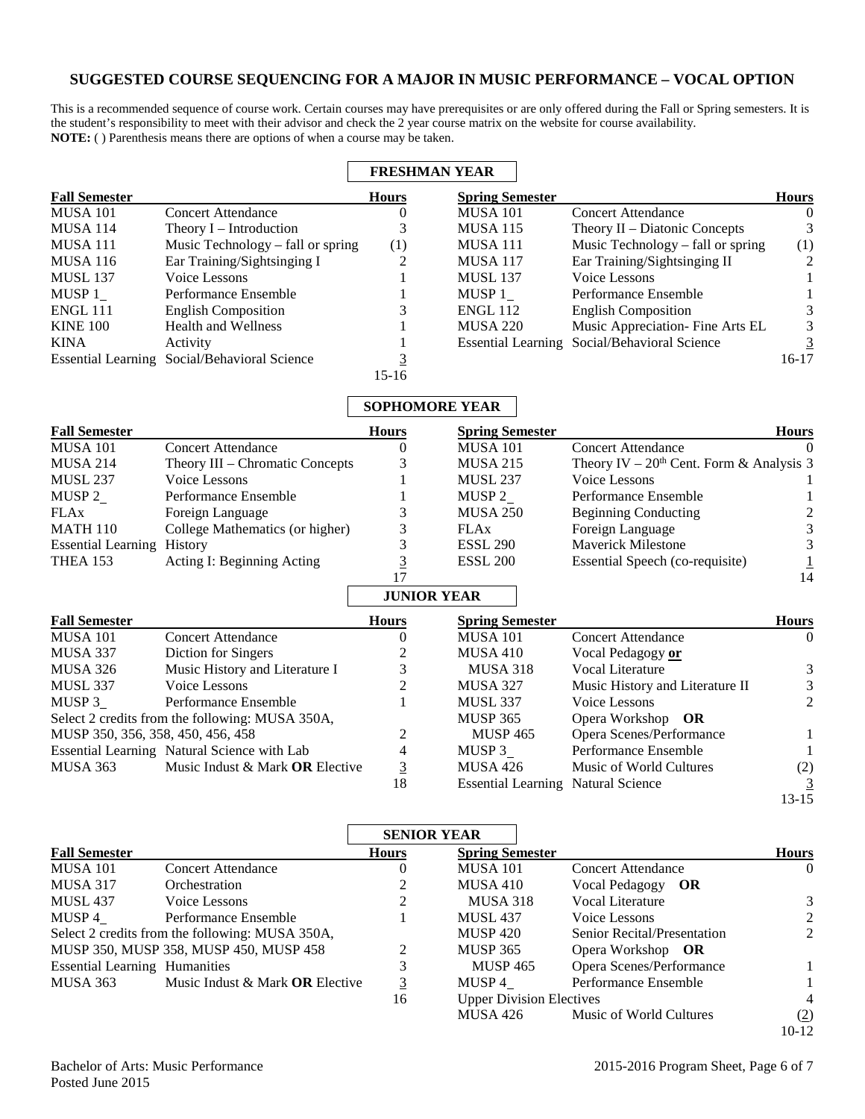## **SUGGESTED COURSE SEQUENCING FOR A MAJOR IN MUSIC PERFORMANCE – VOCAL OPTION**

This is a recommended sequence of course work. Certain courses may have prerequisites or are only offered during the Fall or Spring semesters. It is the student's responsibility to meet with their advisor and check the 2 year course matrix on the website for course availability. **NOTE:** ( ) Parenthesis means there are options of when a course may be taken.

|                      |                                              |              | <b>FRESHMAN YEAR</b>   |                                              |              |
|----------------------|----------------------------------------------|--------------|------------------------|----------------------------------------------|--------------|
| <b>Fall Semester</b> |                                              | <b>Hours</b> | <b>Spring Semester</b> |                                              | <b>Hours</b> |
| <b>MUSA 101</b>      | <b>Concert Attendance</b>                    | U            | <b>MUSA 101</b>        | Concert Attendance                           | $\Omega$     |
| MUSA 114             | Theory $I$ – Introduction                    |              | <b>MUSA 115</b>        | Theory $II$ – Diatonic Concepts              | 3            |
| MUSA 111             | Music Technology – fall or spring            | (1)          | MUSA 111               | Music Technology – fall or spring            | (1)          |
| <b>MUSA 116</b>      | Ear Training/Sightsinging I                  | 2            | <b>MUSA 117</b>        | Ear Training/Sightsinging II                 | 2            |
| <b>MUSL 137</b>      | Voice Lessons                                |              | <b>MUSL 137</b>        | Voice Lessons                                |              |
| MUSP 1               | Performance Ensemble                         |              | MUSP 1                 | Performance Ensemble                         |              |
| <b>ENGL 111</b>      | <b>English Composition</b>                   | 3            | <b>ENGL 112</b>        | <b>English Composition</b>                   | 3            |
| <b>KINE 100</b>      | <b>Health and Wellness</b>                   |              | <b>MUSA 220</b>        | Music Appreciation-Fine Arts EL              | 3            |
| <b>KINA</b>          | Activity                                     |              |                        | Essential Learning Social/Behavioral Science |              |
|                      | Essential Learning Social/Behavioral Science |              |                        |                                              | $16-17$      |
|                      |                                              | $15-16$      |                        |                                              |              |

## **SOPHOMORE YEAR**

| <b>Fall Semester</b>              |                                                 | <b>Hours</b>       | <b>Spring Semester</b>                    |                                            | <b>Hours</b>   |
|-----------------------------------|-------------------------------------------------|--------------------|-------------------------------------------|--------------------------------------------|----------------|
| <b>MUSA 101</b>                   | <b>Concert Attendance</b>                       | 0                  | <b>MUSA 101</b>                           | <b>Concert Attendance</b>                  |                |
| <b>MUSA 214</b>                   | Theory III - Chromatic Concepts                 | 3                  | <b>MUSA 215</b>                           | Theory IV – $20th$ Cent. Form & Analysis 3 |                |
| <b>MUSL 237</b>                   | Voice Lessons                                   |                    | <b>MUSL 237</b>                           | Voice Lessons                              |                |
| MUSP $2$                          | Performance Ensemble                            |                    | MUSP $2$                                  | Performance Ensemble                       |                |
| <b>FLAx</b>                       | Foreign Language                                | 3                  | <b>MUSA 250</b>                           | <b>Beginning Conducting</b>                | 2              |
| <b>MATH 110</b>                   | College Mathematics (or higher)                 | 3                  | <b>FLAx</b>                               | Foreign Language                           | 3              |
| <b>Essential Learning</b>         | <b>History</b>                                  | 3                  | <b>ESSL 290</b>                           | <b>Maverick Milestone</b>                  | 3              |
| <b>THEA 153</b>                   | Acting I: Beginning Acting                      | <u>3</u>           | <b>ESSL 200</b>                           | Essential Speech (co-requisite)            |                |
|                                   |                                                 | 17                 |                                           |                                            | 14             |
|                                   |                                                 | <b>JUNIOR YEAR</b> |                                           |                                            |                |
| <b>Fall Semester</b>              |                                                 | <b>Hours</b>       | <b>Spring Semester</b>                    |                                            | <b>Hours</b>   |
| <b>MUSA 101</b>                   | <b>Concert Attendance</b>                       | $\Omega$           | <b>MUSA 101</b>                           | <b>Concert Attendance</b>                  | $\Omega$       |
| MUSA 337                          | Diction for Singers                             |                    | <b>MUSA 410</b>                           | Vocal Pedagogy or                          |                |
| MUSA 326                          | Music History and Literature I                  | 3                  | <b>MUSA 318</b>                           | <b>Vocal Literature</b>                    | 3              |
| <b>MUSL 337</b>                   | Voice Lessons                                   | 2                  | <b>MUSA 327</b>                           | Music History and Literature II            | 3              |
| MUSP 3                            | Performance Ensemble                            |                    | <b>MUSL 337</b>                           | Voice Lessons                              | $\overline{2}$ |
|                                   | Select 2 credits from the following: MUSA 350A, |                    | <b>MUSP 365</b>                           | Opera Workshop OR                          |                |
| MUSP 350, 356, 358, 450, 456, 458 |                                                 | 2                  | <b>MUSP 465</b>                           | Opera Scenes/Performance                   |                |
|                                   | Essential Learning Natural Science with Lab     | 4                  | MUSP 3                                    | Performance Ensemble                       |                |
| MUSA 363                          | Music Indust & Mark OR Elective                 | $\overline{3}$     | MUSA 426                                  | Music of World Cultures                    | (2)            |
|                                   |                                                 | 18                 | <b>Essential Learning Natural Science</b> |                                            | $\overline{3}$ |
|                                   |                                                 |                    |                                           |                                            | $13 - 15$      |

|                                      |                                                 | <b>SENIOR YEAR</b>          |                                 |                             |                |
|--------------------------------------|-------------------------------------------------|-----------------------------|---------------------------------|-----------------------------|----------------|
| <b>Fall Semester</b>                 |                                                 | <b>Hours</b>                | <b>Spring Semester</b>          |                             | <b>Hours</b>   |
| MUSA 101                             | Concert Attendance                              | $\theta$                    | <b>MUSA 101</b>                 | Concert Attendance          | $\Omega$       |
| <b>MUSA 317</b>                      | Orchestration                                   |                             | MUSA 410                        | Vocal Pedagogy OR           |                |
| <b>MUSL 437</b>                      | Voice Lessons                                   | 2                           | MUSA 318                        | Vocal Literature            | 3              |
| MUSP 4                               | Performance Ensemble                            |                             | <b>MUSL 437</b>                 | Voice Lessons               | $\mathcal{L}$  |
|                                      | Select 2 credits from the following: MUSA 350A, |                             | MUSP 420                        | Senior Recital/Presentation | 2              |
|                                      | MUSP 350, MUSP 358, MUSP 450, MUSP 458          | $\mathcal{D}_{\mathcal{L}}$ | <b>MUSP 365</b>                 | Opera Workshop OR           |                |
| <b>Essential Learning Humanities</b> |                                                 |                             | <b>MUSP 465</b>                 | Opera Scenes/Performance    |                |
| MUSA 363                             | Music Indust & Mark <b>OR</b> Elective          | <u>3</u>                    | MUSP 4                          | Performance Ensemble        |                |
|                                      |                                                 | 16                          | <b>Upper Division Electives</b> |                             | $\overline{4}$ |
|                                      |                                                 |                             | MUSA 426                        | Music of World Cultures     | (2)            |
|                                      |                                                 |                             |                                 |                             | $10-12$        |